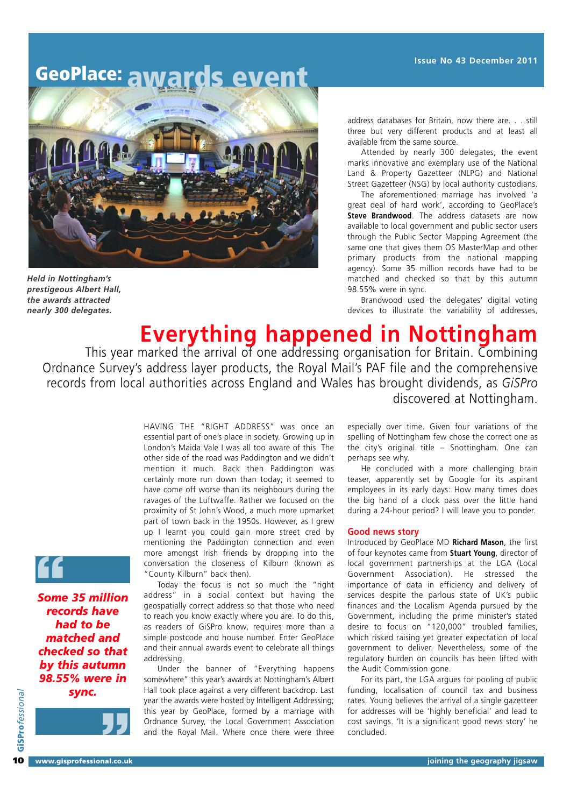# **GeoPlace: awards event**



*Held in Nottingham's prestigeous Albert Hall, the awards attracted nearly 300 delegates.*

address databases for Britain, now there are. . . still three but very different products and at least all available from the same source.

Attended by nearly 300 delegates, the event marks innovative and exemplary use of the National Land & Property Gazetteer (NLPG) and National Street Gazetteer (NSG) by local authority custodians.

The aforementioned marriage has involved 'a great deal of hard work', according to GeoPlace's **Steve Brandwood**. The address datasets are now available to local government and public sector users through the Public Sector Mapping Agreement (the same one that gives them OS MasterMap and other primary products from the national mapping agency). Some 35 million records have had to be matched and checked so that by this autumn 98.55% were in sync.

Brandwood used the delegates' digital voting devices to illustrate the variability of addresses,

**Everything happened in Nottingham**

This year marked the arrival of one addressing organisation for Britain. Combining Ordnance Survey's address layer products, the Royal Mail's PAF file and the comprehensive records from local authorities across England and Wales has brought dividends, as *GiSPro* discovered at Nottingham.

> HAVING THE "RIGHT ADDRESS" was once an essential part of one's place in society. Growing up in London's Maida Vale I was all too aware of this. The other side of the road was Paddington and we didn't mention it much. Back then Paddington was certainly more run down than today; it seemed to have come off worse than its neighbours during the ravages of the Luftwaffe. Rather we focused on the proximity of St John's Wood, a much more upmarket part of town back in the 1950s. However, as I grew up I learnt you could gain more street cred by mentioning the Paddington connection and even more amongst Irish friends by dropping into the conversation the closeness of Kilburn (known as "County Kilburn" back then).

> Today the focus is not so much the "right address" in a social context but having the geospatially correct address so that those who need to reach you know exactly where you are. To do this, as readers of GiSPro know, requires more than a simple postcode and house number. Enter GeoPlace and their annual awards event to celebrate all things addressing.

> Under the banner of "Everything happens somewhere" this year's awards at Nottingham's Albert Hall took place against a very different backdrop. Last year the awards were hosted by Intelligent Addressing; this year by GeoPlace, formed by a marriage with Ordnance Survey, the Local Government Association and the Royal Mail. Where once there were three

especially over time. Given four variations of the spelling of Nottingham few chose the correct one as the city's original title – Snottingham. One can perhaps see why.

He concluded with a more challenging brain teaser, apparently set by Google for its aspirant employees in its early days: How many times does the big hand of a clock pass over the little hand during a 24-hour period? I will leave you to ponder.

#### **Good news story**

Introduced by GeoPlace MD **Richard Mason**, the first of four keynotes came from **Stuart Young**, director of local government partnerships at the LGA (Local Government Association). He stressed the importance of data in efficiency and delivery of services despite the parlous state of UK's public finances and the Localism Agenda pursued by the Government, including the prime minister's stated desire to focus on "120,000" troubled families, which risked raising yet greater expectation of local government to deliver. Nevertheless, some of the regulatory burden on councils has been lifted with the Audit Commission gone.

For its part, the LGA argues for pooling of public funding, localisation of council tax and business rates. Young believes the arrival of a single gazetteer for addresses will be 'highly beneficial' and lead to cost savings. 'It is a significant good news story' he concluded.

*Some 35 million* **"** *records have had to be matched and checked so that by this autumn 98.55% were in sync.*

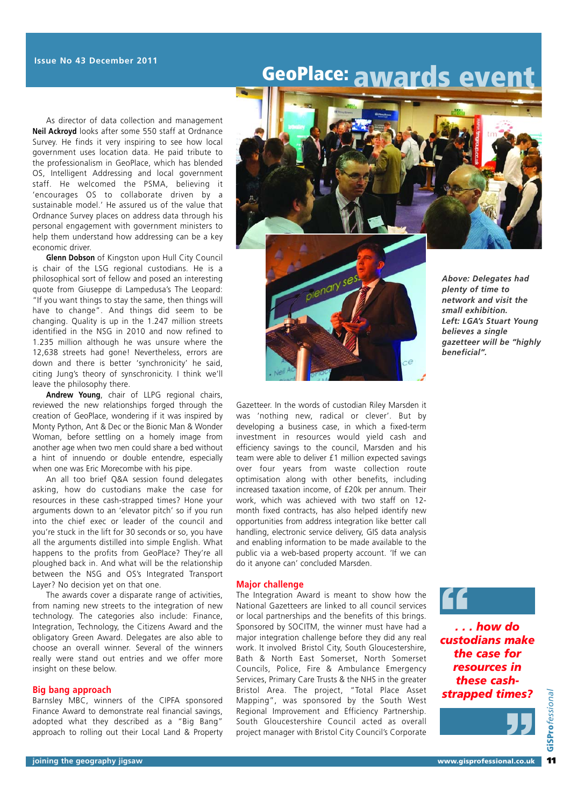### **GeoPlace: awards event**

As director of data collection and management **Neil Ackroyd** looks after some 550 staff at Ordnance Survey. He finds it very inspiring to see how local government uses location data. He paid tribute to the professionalism in GeoPlace, which has blended OS, Intelligent Addressing and local government staff. He welcomed the PSMA, believing it 'encourages OS to collaborate driven by a sustainable model.' He assured us of the value that Ordnance Survey places on address data through his personal engagement with government ministers to help them understand how addressing can be a key economic driver.

**Glenn Dobson** of Kingston upon Hull City Council is chair of the LSG regional custodians. He is a philosophical sort of fellow and posed an interesting quote from Giuseppe di Lampedusa's The Leopard: "If you want things to stay the same, then things will have to change". And things did seem to be changing. Quality is up in the 1.247 million streets identified in the NSG in 2010 and now refined to 1.235 million although he was unsure where the 12,638 streets had gone! Nevertheless, errors are down and there is better 'synchronicity' he said, citing Jung's theory of synschronicity. I think we'll leave the philosophy there.

**Andrew Young**, chair of LLPG regional chairs, reviewed the new relationships forged through the creation of GeoPlace, wondering if it was inspired by Monty Python, Ant & Dec or the Bionic Man & Wonder Woman, before settling on a homely image from another age when two men could share a bed without a hint of innuendo or double entendre, especially when one was Eric Morecombe with his pipe.

An all too brief Q&A session found delegates asking, how do custodians make the case for resources in these cash-strapped times? Hone your arguments down to an 'elevator pitch' so if you run into the chief exec or leader of the council and you're stuck in the lift for 30 seconds or so, you have all the arguments distilled into simple English. What happens to the profits from GeoPlace? They're all ploughed back in. And what will be the relationship between the NSG and OS's Integrated Transport Layer? No decision yet on that one.

The awards cover a disparate range of activities, from naming new streets to the integration of new technology. The categories also include: Finance, Integration, Technology, the Citizens Award and the obligatory Green Award. Delegates are also able to choose an overall winner. Several of the winners really were stand out entries and we offer more insight on these below.

#### **Big bang approach**

Barnsley MBC, winners of the CIPFA sponsored Finance Award to demonstrate real financial savings, adopted what they described as a "Big Bang" approach to rolling out their Local Land & Property





*plenty of time to network and visit the small exhibition. Left: LGA's Stuart Young believes a single gazetteer will be "highly beneficial".*

Gazetteer. In the words of custodian Riley Marsden it was 'nothing new, radical or clever'. But by developing a business case, in which a fixed-term investment in resources would yield cash and efficiency savings to the council, Marsden and his team were able to deliver £1 million expected savings over four years from waste collection route optimisation along with other benefits, including increased taxation income, of £20k per annum. Their work, which was achieved with two staff on 12 month fixed contracts, has also helped identify new opportunities from address integration like better call handling, electronic service delivery, GIS data analysis and enabling information to be made available to the public via a web-based property account. 'If we can do it anyone can' concluded Marsden.

### **Major challenge**

The Integration Award is meant to show how the National Gazetteers are linked to all council services or local partnerships and the benefits of this brings. Sponsored by SOCITM, the winner must have had a major integration challenge before they did any real work. It involved Bristol City, South Gloucestershire, Bath & North East Somerset, North Somerset Councils, Police, Fire & Ambulance Emergency Services, Primary Care Trusts & the NHS in the greater Bristol Area. The project, "Total Place Asset Mapping", was sponsored by the South West Regional Improvement and Efficiency Partnership. South Gloucestershire Council acted as overall project manager with Bristol City Council's Corporate

**"**

*. . . how do custodians make the case for resources in these cashstrapped times?* **"**

**11**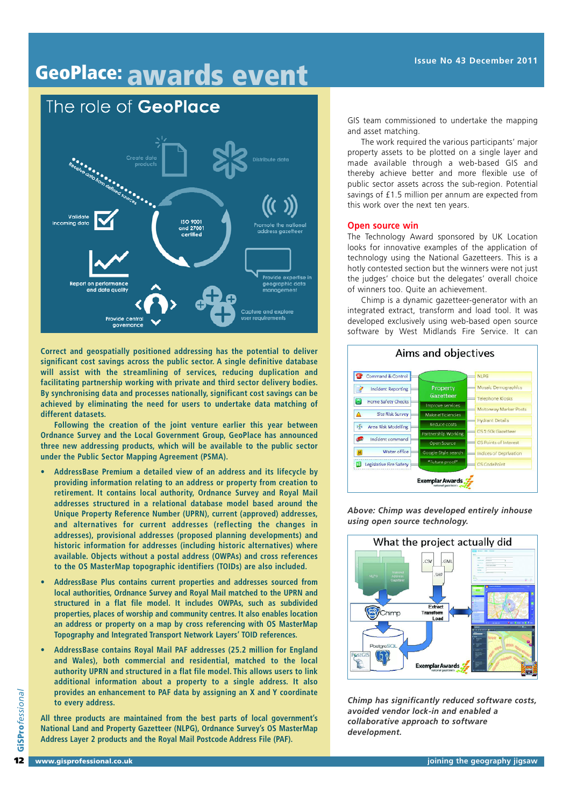

**Correct and geospatially positioned addressing has the potential to deliver significant cost savings across the public sector. A single definitive database will assist with the streamlining of services, reducing duplication and facilitating partnership working with private and third sector delivery bodies. By synchronising data and processes nationally, significant cost savings can be achieved by eliminating the need for users to undertake data matching of different datasets.**

**Following the creation of the joint venture earlier this year between Ordnance Survey and the Local Government Group, GeoPlace has announced three new addressing products, which will be available to the public sector under the Public Sector Mapping Agreement (PSMA).**

- **AddressBase Premium a detailed view of an address and its lifecycle by providing information relating to an address or property from creation to retirement. It contains local authority, Ordnance Survey and Royal Mail addresses structured in a relational database model based around the Unique Property Reference Number (UPRN), current (approved) addresses, and alternatives for current addresses (reflecting the changes in addresses), provisional addresses (proposed planning developments) and historic information for addresses (including historic alternatives) where available. Objects without a postal address (OWPAs) and cross references to the OS MasterMap topographic identifiers (TOIDs) are also included.**
- **AddressBase Plus contains current properties and addresses sourced from local authorities, Ordnance Survey and Royal Mail matched to the UPRN and structured in a flat file model. It includes OWPAs, such as subdivided properties, places of worship and community centres. It also enables location an address or property on a map by cross referencing with OS MasterMap Topography and Integrated Transport Network Layers' TOID references.**
- **AddressBase contains Royal Mail PAF addresses (25.2 million for England and Wales), both commercial and residential, matched to the local authority UPRN and structured in a flat file model. This allows users to link additional information about a property to a single address. It also provides an enhancement to PAF data by assigning an X and Y coordinate to every address.**

**All three products are maintained from the best parts of local government's National Land and Property Gazetteer (NLPG), Ordnance Survey's OS MasterMap Address Layer 2 products and the Royal Mail Postcode Address File (PAF).**

The work required the various participants' major property assets to be plotted on a single layer and made available through a web-based GIS and thereby achieve better and more flexible use of public sector assets across the sub-region. Potential savings of £1.5 million per annum are expected from this work over the next ten years.

#### **Open source win**

The Technology Award sponsored by UK Location looks for innovative examples of the application of technology using the National Gazetteers. This is a hotly contested section but the winners were not just the judges' choice but the delegates' overall choice of winners too. Quite an achievement.

Chimp is a dynamic gazetteer-generator with an integrated extract, transform and load tool. It was developed exclusively using web-based open source software by West Midlands Fire Service. It can



*Above: Chimp was developed entirely inhouse using open source technology.*



*Chimp has significantly reduced software costs, avoided vendor lock-in and enabled a collaborative approach to software development.*